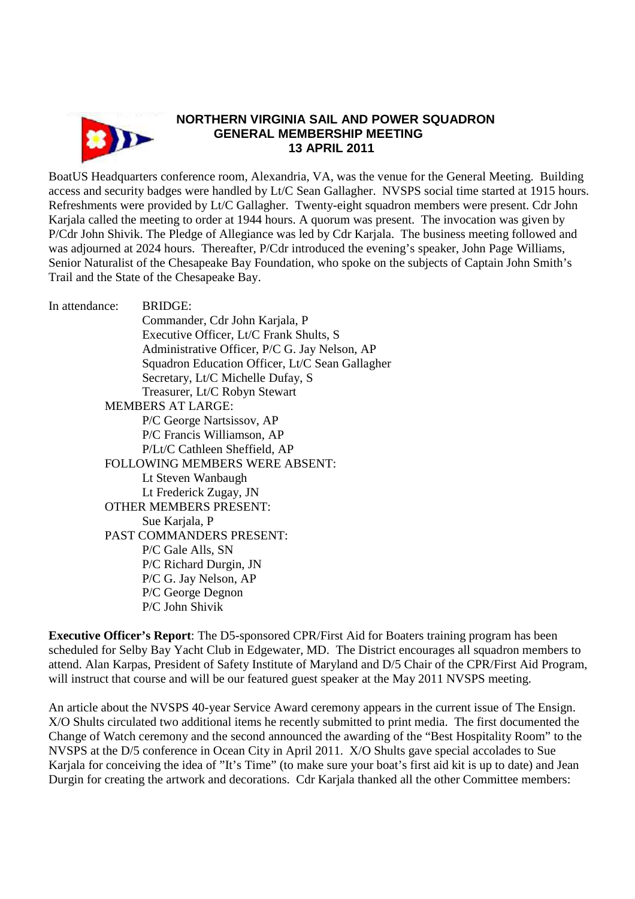

## **NORTHERN VIRGINIA SAIL AND POWER SQUADRON GENERAL MEMBERSHIP MEETING 13 APRIL 2011**

BoatUS Headquarters conference room, Alexandria, VA, was the venue for the General Meeting. Building access and security badges were handled by Lt/C Sean Gallagher. NVSPS social time started at 1915 hours. Refreshments were provided by Lt/C Gallagher. Twenty-eight squadron members were present. Cdr John Karjala called the meeting to order at 1944 hours. A quorum was present. The invocation was given by P/Cdr John Shivik. The Pledge of Allegiance was led by Cdr Karjala. The business meeting followed and was adjourned at 2024 hours. Thereafter, P/Cdr introduced the evening's speaker, John Page Williams, Senior Naturalist of the Chesapeake Bay Foundation, who spoke on the subjects of Captain John Smith's Trail and the State of the Chesapeake Bay.

| In attendance:                        | <b>BRIDGE:</b>                                  |
|---------------------------------------|-------------------------------------------------|
|                                       | Commander, Cdr John Karjala, P                  |
|                                       | Executive Officer, Lt/C Frank Shults, S         |
|                                       | Administrative Officer, P/C G. Jay Nelson, AP   |
|                                       | Squadron Education Officer, Lt/C Sean Gallagher |
|                                       | Secretary, Lt/C Michelle Dufay, S               |
|                                       | Treasurer, Lt/C Robyn Stewart                   |
| <b>MEMBERS AT LARGE:</b>              |                                                 |
|                                       | P/C George Nartsissov, AP                       |
|                                       | P/C Francis Williamson, AP                      |
|                                       | P/Lt/C Cathleen Sheffield, AP                   |
| <b>FOLLOWING MEMBERS WERE ABSENT:</b> |                                                 |
|                                       | Lt Steven Wanbaugh                              |
|                                       | Lt Frederick Zugay, JN                          |
| <b>OTHER MEMBERS PRESENT:</b>         |                                                 |
|                                       | Sue Karjala, P                                  |
| PAST COMMANDERS PRESENT:              |                                                 |
|                                       | P/C Gale Alls, SN                               |
|                                       | P/C Richard Durgin, JN                          |
|                                       | P/C G. Jay Nelson, AP                           |
|                                       | P/C George Degnon                               |
|                                       | P/C John Shivik                                 |
|                                       |                                                 |

**Executive Officer's Report**: The D5-sponsored CPR/First Aid for Boaters training program has been scheduled for Selby Bay Yacht Club in Edgewater, MD. The District encourages all squadron members to attend. Alan Karpas, President of Safety Institute of Maryland and D/5 Chair of the CPR/First Aid Program, will instruct that course and will be our featured guest speaker at the May 2011 NVSPS meeting.

An article about the NVSPS 40-year Service Award ceremony appears in the current issue of The Ensign. X/O Shults circulated two additional items he recently submitted to print media. The first documented the Change of Watch ceremony and the second announced the awarding of the "Best Hospitality Room" to the NVSPS at the D/5 conference in Ocean City in April 2011. X/O Shults gave special accolades to Sue Karjala for conceiving the idea of "It's Time" (to make sure your boat's first aid kit is up to date) and Jean Durgin for creating the artwork and decorations. Cdr Karjala thanked all the other Committee members: